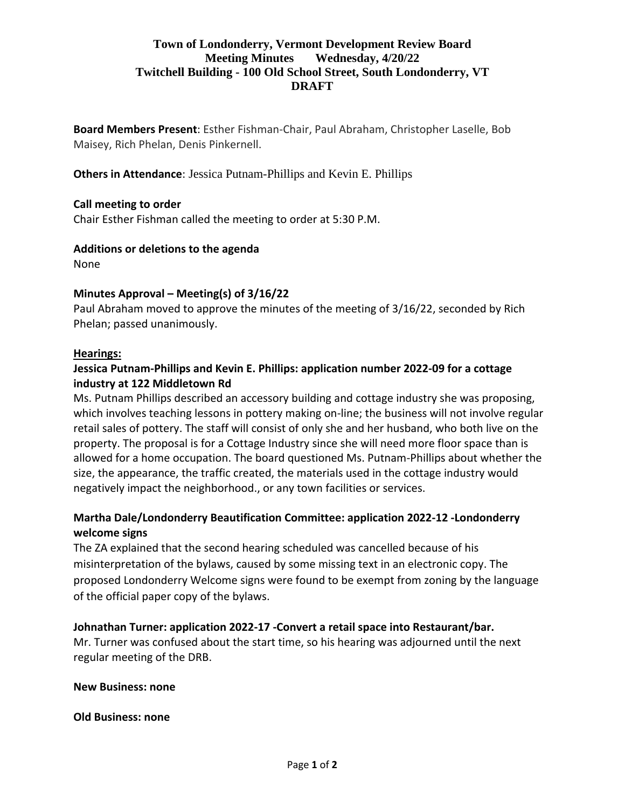# **Town of Londonderry, Vermont Development Review Board Meeting Minutes Wednesday, 4/20/22 Twitchell Building - 100 Old School Street, South Londonderry, VT DRAFT**

**Board Members Present**: Esther Fishman-Chair, Paul Abraham, Christopher Laselle, Bob Maisey, Rich Phelan, Denis Pinkernell.

**Others in Attendance**: Jessica Putnam-Phillips and Kevin E. Phillips

### **Call meeting to order**

Chair Esther Fishman called the meeting to order at 5:30 P.M.

#### **Additions or deletions to the agenda**

None

### **Minutes Approval – Meeting(s) of 3/16/22**

Paul Abraham moved to approve the minutes of the meeting of 3/16/22, seconded by Rich Phelan; passed unanimously.

#### **Hearings:**

## **Jessica Putnam-Phillips and Kevin E. Phillips: application number 2022-09 for a cottage industry at 122 Middletown Rd**

Ms. Putnam Phillips described an accessory building and cottage industry she was proposing, which involves teaching lessons in pottery making on-line; the business will not involve regular retail sales of pottery. The staff will consist of only she and her husband, who both live on the property. The proposal is for a Cottage Industry since she will need more floor space than is allowed for a home occupation. The board questioned Ms. Putnam-Phillips about whether the size, the appearance, the traffic created, the materials used in the cottage industry would negatively impact the neighborhood., or any town facilities or services.

# **Martha Dale/Londonderry Beautification Committee: application 2022-12 -Londonderry welcome signs**

The ZA explained that the second hearing scheduled was cancelled because of his misinterpretation of the bylaws, caused by some missing text in an electronic copy. The proposed Londonderry Welcome signs were found to be exempt from zoning by the language of the official paper copy of the bylaws.

### **Johnathan Turner: application 2022-17 -Convert a retail space into Restaurant/bar.**

Mr. Turner was confused about the start time, so his hearing was adjourned until the next regular meeting of the DRB.

#### **New Business: none**

#### **Old Business: none**